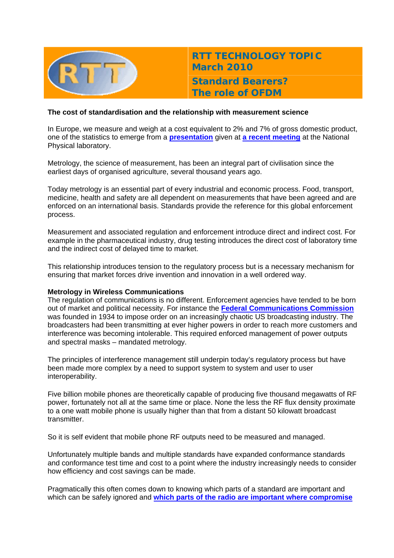

**RTT TECHNOLOGY TOPIC March 2010 Standard Bearers?** 

**The role of OFDM** 

## **The cost of standardisation and the relationship with measurement science**

In Europe, we measure and weigh at a cost equivalent to 2% and 7% of gross domestic product, one of the statistics to emerge from a **[presentation](http://www.cambridgewireless.co.uk/docs/David%20Humphreys%20Testing%20Presentation.pdf)** given at **[a recent meeting](http://www.cambridgewireless.co.uk/resources/)** at the National Physical laboratory.

Metrology, the science of measurement, has been an integral part of civilisation since the earliest days of organised agriculture, several thousand years ago.

Today metrology is an essential part of every industrial and economic process. Food, transport, medicine, health and safety are all dependent on measurements that have been agreed and are enforced on an international basis. Standards provide the reference for this global enforcement process.

Measurement and associated regulation and enforcement introduce direct and indirect cost. For example in the pharmaceutical industry, drug testing introduces the direct cost of laboratory time and the indirect cost of delayed time to market.

This relationship introduces tension to the regulatory process but is a necessary mechanism for ensuring that market forces drive invention and innovation in a well ordered way.

### **Metrology in Wireless Communications**

The regulation of communications is no different. Enforcement agencies have tended to be born out of market and political necessity. For instance the **[Federal Communications Commission](http://www.museum.tv/eotvsection.php?entrycode=federalcommu)** was founded in 1934 to impose order on an increasingly chaotic US broadcasting industry. The broadcasters had been transmitting at ever higher powers in order to reach more customers and interference was becoming intolerable. This required enforced management of power outputs and spectral masks – mandated metrology.

The principles of interference management still underpin today's regulatory process but have been made more complex by a need to support system to system and user to user interoperability.

Five billion mobile phones are theoretically capable of producing five thousand megawatts of RF power, fortunately not all at the same time or place. None the less the RF flux density proximate to a one watt mobile phone is usually higher than that from a distant 50 kilowatt broadcast transmitter.

So it is self evident that mobile phone RF outputs need to be measured and managed.

Unfortunately multiple bands and multiple standards have expanded conformance standards and conformance test time and cost to a point where the industry increasingly needs to consider how efficiency and cost savings can be made.

Pragmatically this often comes down to knowing which parts of a standard are important and which can be safely ignored and **[which parts of the radio are important where compromise](http://www.cambridgewireless.co.uk/docs/Brian%20Collins%20Testing%20Pres.pdf)**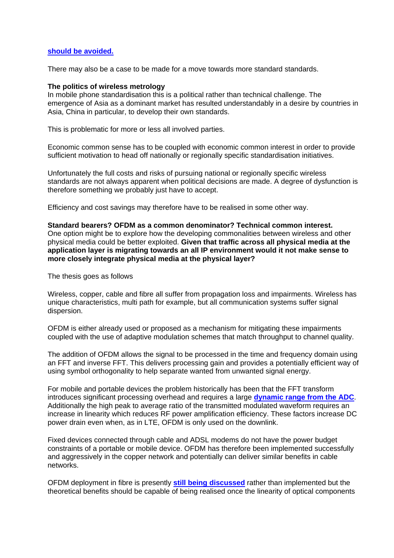### **[should be avoided.](http://www.cambridgewireless.co.uk/docs/Brian%20Collins%20Testing%20Pres.pdf)**

There may also be a case to be made for a move towards more standard standards.

#### **The politics of wireless metrology**

In mobile phone standardisation this is a political rather than technical challenge. The emergence of Asia as a dominant market has resulted understandably in a desire by countries in Asia, China in particular, to develop their own standards.

This is problematic for more or less all involved parties.

Economic common sense has to be coupled with economic common interest in order to provide sufficient motivation to head off nationally or regionally specific standardisation initiatives.

Unfortunately the full costs and risks of pursuing national or regionally specific wireless standards are not always apparent when political decisions are made. A degree of dysfunction is therefore something we probably just have to accept.

Efficiency and cost savings may therefore have to be realised in some other way.

**Standard bearers? OFDM as a common denominator? Technical common interest.**  One option might be to explore how the developing commonalities between wireless and other physical media could be better exploited. **Given that traffic across all physical media at the application layer is migrating towards an all IP environment would it not make sense to more closely integrate physical media at the physical layer?**

The thesis goes as follows

Wireless, copper, cable and fibre all suffer from propagation loss and impairments. Wireless has unique characteristics, multi path for example, but all communication systems suffer signal dispersion.

OFDM is either already used or proposed as a mechanism for mitigating these impairments coupled with the use of adaptive modulation schemes that match throughput to channel quality.

The addition of OFDM allows the signal to be processed in the time and frequency domain using an FFT and inverse FFT. This delivers processing gain and provides a potentially efficient way of using symbol orthogonality to help separate wanted from unwanted signal energy.

For mobile and portable devices the problem historically has been that the FFT transform introduces significant processing overhead and requires a large **[dynamic range from the ADC](http://www.design-reuse.com/articles/20708/3gpp-lte-adc-dac-docsis.html)**. Additionally the high peak to average ratio of the transmitted modulated waveform requires an increase in linearity which reduces RF power amplification efficiency. These factors increase DC power drain even when, as in LTE, OFDM is only used on the downlink.

Fixed devices connected through cable and ADSL modems do not have the power budget constraints of a portable or mobile device. OFDM has therefore been implemented successfully and aggressively in the copper network and potentially can deliver similar benefits in cable networks.

OFDM deployment in fibre is presently **[still being discussed](http://www.faqs.org/patents/app/20090214210)** rather than implemented but the theoretical benefits should be capable of being realised once the linearity of optical components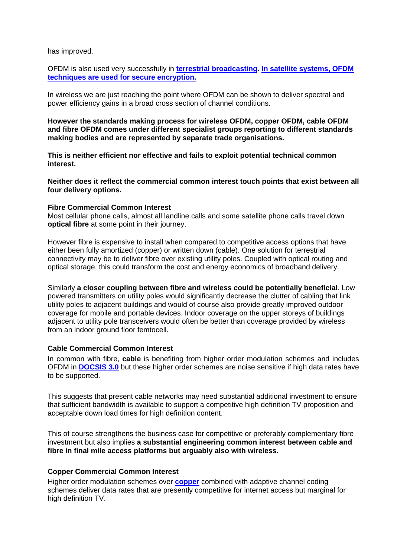has improved.

OFDM is also used very successfully in **[terrestrial broadcasting](http://www.dvb.org/(RoxenUserID=52067cd27e23720015c5bc100077cea5)/technology/fact_sheets/index.xml)**. **[In satellite systems, OFDM](http://www.inmarsat.com/Downloads/English/BGAN/User_guides/Using_Omnisec_222_over_BGAN.pdf?language=EN&textonly=False)  [techniques are used for secure encryption.](http://www.inmarsat.com/Downloads/English/BGAN/User_guides/Using_Omnisec_222_over_BGAN.pdf?language=EN&textonly=False)**

In wireless we are just reaching the point where OFDM can be shown to deliver spectral and power efficiency gains in a broad cross section of channel conditions.

**However the standards making process for wireless OFDM, copper OFDM, cable OFDM and fibre OFDM comes under different specialist groups reporting to different standards making bodies and are represented by separate trade organisations.** 

**This is neither efficient nor effective and fails to exploit potential technical common interest.**

**Neither does it reflect the commercial common interest touch points that exist between all four delivery options.** 

### **Fibre Commercial Common Interest**

Most cellular phone calls, almost all landline calls and some satellite phone calls travel down **optical fibre** at some point in their journey.

However fibre is expensive to install when compared to competitive access options that have either been fully amortized (copper) or written down (cable). One solution for terrestrial connectivity may be to deliver fibre over existing utility poles. Coupled with optical routing and optical storage, this could transform the cost and energy economics of broadband delivery.

Similarly **a closer coupling between fibre and wireless could be potentially beneficial**. Low powered transmitters on utility poles would significantly decrease the clutter of cabling that link utility poles to adjacent buildings and would of course also provide greatly improved outdoor coverage for mobile and portable devices. Indoor coverage on the upper storeys of buildings adjacent to utility pole transceivers would often be better than coverage provided by wireless from an indoor ground floor femtocell.

### **Cable Commercial Common Interest**

In common with fibre, **cable** is benefiting from higher order modulation schemes and includes OFDM in **[DOCSIS 3.0](http://www.cablelabs.com/cablemodem/)** but these higher order schemes are noise sensitive if high data rates have to be supported.

This suggests that present cable networks may need substantial additional investment to ensure that sufficient bandwidth is available to support a competitive high definition TV proposition and acceptable down load times for high definition content.

This of course strengthens the business case for competitive or preferably complementary fibre investment but also implies **a substantial engineering common interest between cable and fibre in final mile access platforms but arguably also with wireless.**

## **Copper Commercial Common Interest**

Higher order modulation schemes over **[copper](http://www.ictregulationtoolkit.org/en/Publication.2942.html)** combined with adaptive channel coding schemes deliver data rates that are presently competitive for internet access but marginal for high definition TV.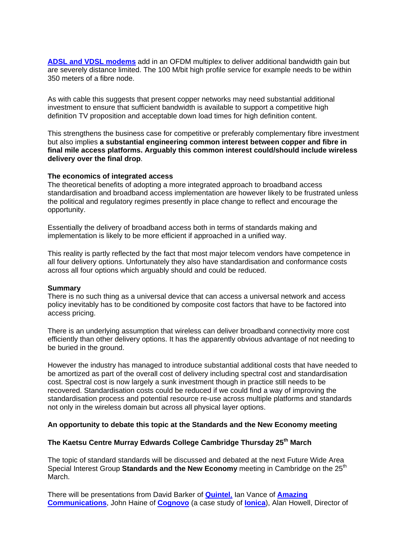**[ADSL and VDSL modems](http://www.broadbandreports.com/r0/download/1456040%7Efe59ec9cfe508f4d71494c761cae14c7/vdsl2.pdf)** add in an OFDM multiplex to deliver additional bandwidth gain but are severely distance limited. The 100 M/bit high profile service for example needs to be within 350 meters of a fibre node.

As with cable this suggests that present copper networks may need substantial additional investment to ensure that sufficient bandwidth is available to support a competitive high definition TV proposition and acceptable down load times for high definition content.

This strengthens the business case for competitive or preferably complementary fibre investment but also implies **a substantial engineering common interest between copper and fibre in final mile access platforms. Arguably this common interest could/should include wireless delivery over the final drop**.

### **The economics of integrated access**

The theoretical benefits of adopting a more integrated approach to broadband access standardisation and broadband access implementation are however likely to be frustrated unless the political and regulatory regimes presently in place change to reflect and encourage the opportunity.

Essentially the delivery of broadband access both in terms of standards making and implementation is likely to be more efficient if approached in a unified way.

This reality is partly reflected by the fact that most major telecom vendors have competence in all four delivery options. Unfortunately they also have standardisation and conformance costs across all four options which arguably should and could be reduced.

### **Summary**

There is no such thing as a universal device that can access a universal network and access policy inevitably has to be conditioned by composite cost factors that have to be factored into access pricing.

There is an underlying assumption that wireless can deliver broadband connectivity more cost efficiently than other delivery options. It has the apparently obvious advantage of not needing to be buried in the ground.

However the industry has managed to introduce substantial additional costs that have needed to be amortized as part of the overall cost of delivery including spectral cost and standardisation cost. Spectral cost is now largely a sunk investment though in practice still needs to be recovered. Standardisation costs could be reduced if we could find a way of improving the standardisation process and potential resource re-use across multiple platforms and standards not only in the wireless domain but across all physical layer options.

## **An opportunity to debate this topic at the Standards and the New Economy meeting**

# **The Kaetsu Centre Murray Edwards College Cambridge Thursday 25th March**

The topic of standard standards will be discussed and debated at the next Future Wide Area Special Interest Group **Standards and the New Economy** meeting in Cambridge on the 25<sup>th</sup> March.

There will be presentations from David Barker of **[Quintel](http://www.quintelsolutions.com/)**, Ian Vance of **[Amazing](http://www.cleveronline.org/Eventbritebiogs/IanVancebiog.htm)  [Communications](http://www.cleveronline.org/Eventbritebiogs/IanVancebiog.htm)**, John Haine of **[Cognovo](http://www.cognovo.com/)** (a case study of **[Ionica](http://en.wikipedia.org/wiki/Ionica_(company))**), Alan Howell, Director of